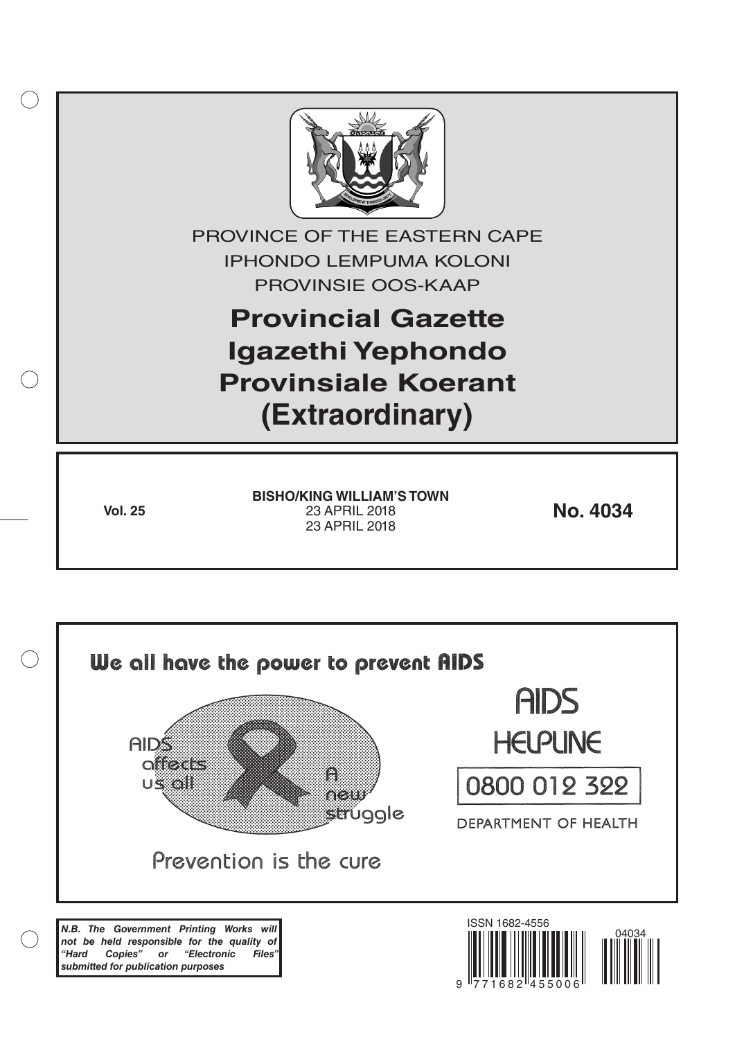

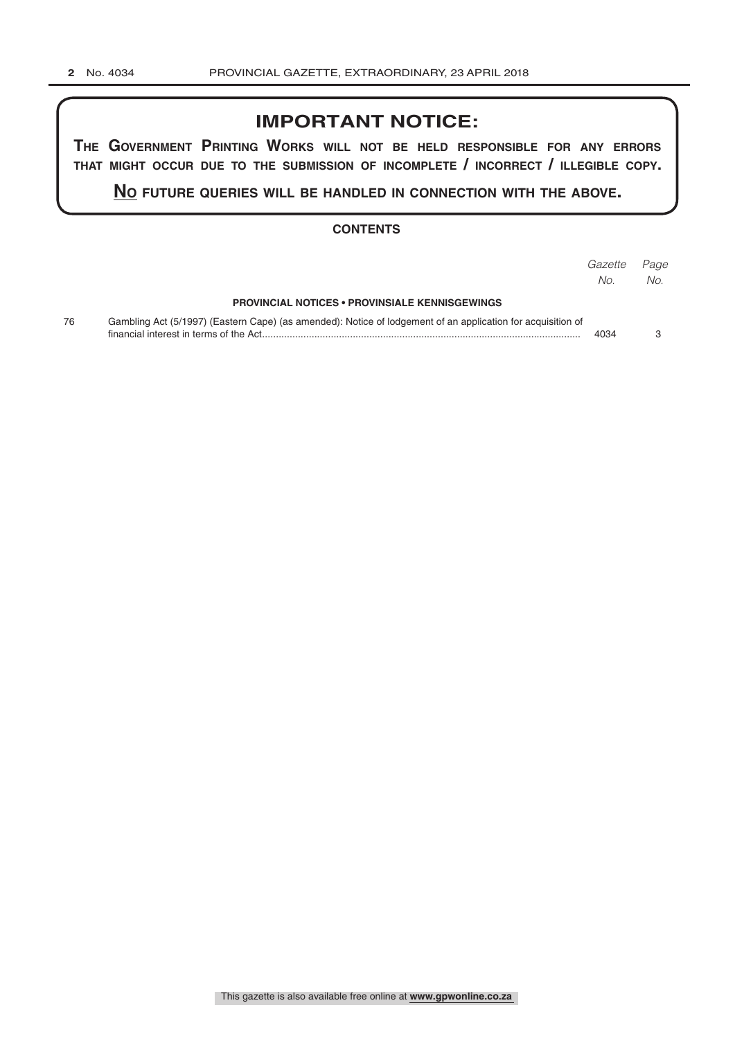# **IMPORTANT NOTICE:**

**The GovernmenT PrinTinG Works Will noT be held resPonsible for any errors ThaT miGhT occur due To The submission of incomPleTe / incorrecT / illeGible coPy.**

**no fuTure queries Will be handled in connecTion WiTh The above.**

## **CONTENTS**

|    |                                                                                                             | Gazette | Page |
|----|-------------------------------------------------------------------------------------------------------------|---------|------|
|    |                                                                                                             | No.     | No.  |
|    | <b>PROVINCIAL NOTICES • PROVINSIALE KENNISGEWINGS</b>                                                       |         |      |
| 76 | Gambling Act (5/1997) (Eastern Cape) (as amended): Notice of lodgement of an application for acquisition of | 4034    |      |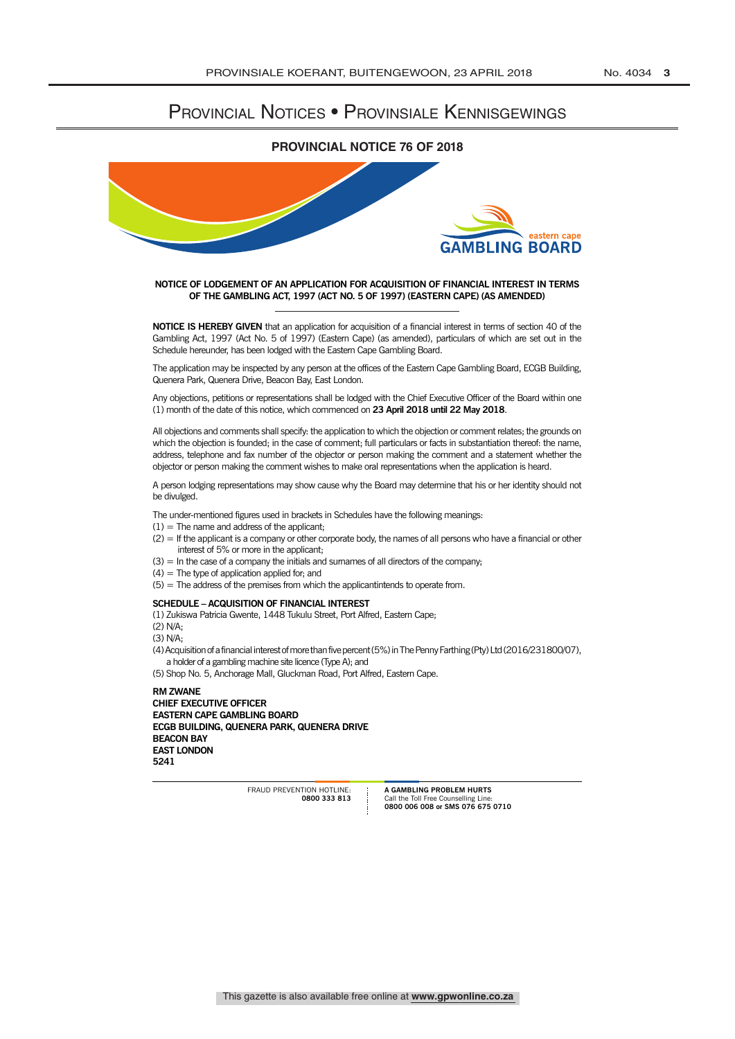## Provincial Notices • Provinsiale Kennisgewings

### **PROVINCIAL NOTICE 76 OF 2018**



#### **NOTICE OF LODGEMENT OF AN APPLICATION FOR ACQUISITION OF FINANCIAL INTEREST IN TERMS OF THE GAMBLING ACT, 1997 (ACT NO. 5 OF 1997) (EASTERN CAPE) (AS AMENDED)**

**NOTICE IS HEREBY GIVEN** that an application for acquisition of a financial interest in terms of section 40 of the Gambling Act, 1997 (Act No. 5 of 1997) (Eastern Cape) (as amended), particulars of which are set out in the Schedule hereunder, has been lodged with the Eastern Cape Gambling Board.

The application may be inspected by any person at the offices of the Eastern Cape Gambling Board, ECGB Building, Quenera Park, Quenera Drive, Beacon Bay, East London.

Any objections, petitions or representations shall be lodged with the Chief Executive Officer of the Board within one (1) month of the date of this notice, which commenced on **23 April 2018 until 22 May 2018**.

All objections and comments shall specify: the application to which the objection or comment relates; the grounds on which the objection is founded; in the case of comment; full particulars or facts in substantiation thereof: the name, address, telephone and fax number of the objector or person making the comment and a statement whether the objector or person making the comment wishes to make oral representations when the application is heard.

A person lodging representations may show cause why the Board may determine that his or her identity should not be divulged.

The under-mentioned figures used in brackets in Schedules have the following meanings:

- $(1)$  = The name and address of the applicant;
- (2) = If the applicant is a company or other corporate body, the names of all persons who have a financial or other interest of 5% or more in the applicant;
- $(3)$  = In the case of a company the initials and sumames of all directors of the company;
- (4) = The type of application applied for; and
- (5) = The address of the premises from which the applicantintends to operate from.

#### **SCHEDULE – ACQUISITION OF FINANCIAL INTEREST**

(1) Zukiswa Patricia Gwente, 1448 Tukulu Street, Port Alfred, Eastern Cape;

(2) N/A;

 $(3)$  N/A $\cdot$ 

(4) Acquisition of a financial interest of more than five percent (5%) in The Penny Farthing (Pty) Ltd (2016/231800/07), a holder of a gambling machine site licence (Type A); and

(5) Shop No. 5, Anchorage Mall, Gluckman Road, Port Alfred, Eastern Cape.

**RM ZwANE CHIEF ExECUTIVE OFFICER EASTERN CAPE GAMBLING BOARD ECGB BUILDING, QUENERA PARk, QUENERA DRIVE BEACON BAY EAST LONDON 5241**

> FRAUD PREVENTION HOTLINE: **0800 333 813**

**A GAMBLING PROBLEM HURTS** Call the Toll Free Counselling Line: **0800 006 008 or SMS 076 675 0710**